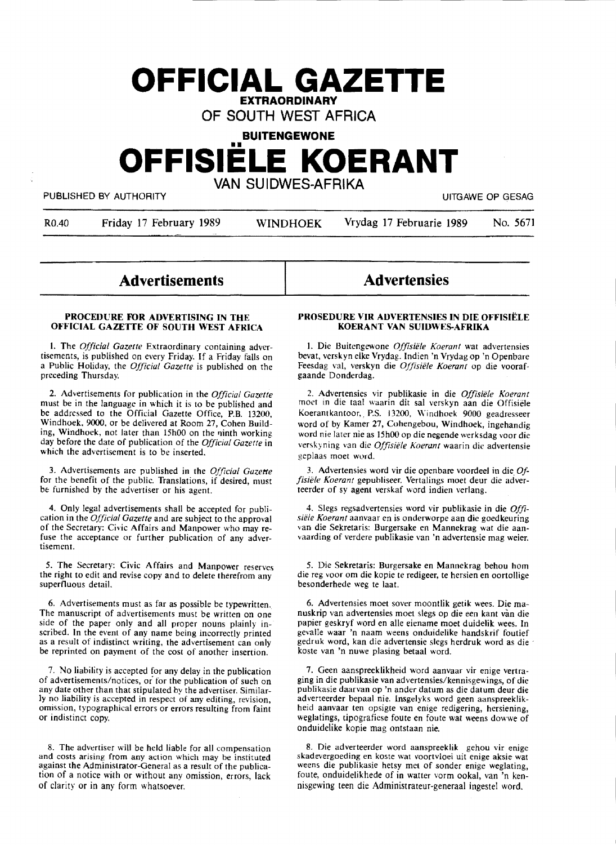### **OFFICIAL GAZETTE EXTRAORDINARY**

OF SOUTH WEST AFRICA

## **BUITENGEWONE OFFISIELE KOERANT**  VAN SUIDWES-AFRIKA

PUBLISHED BY AUTHORITY **AUTHORITY Example 2018** 

R0.40 Friday 17 February 1989 WINDHOEK Vrydag 17 Februarie 1989 No. 5671

### **Advertisements**

#### **PROCEDURE FOR ADVERTISING IN THE OFFICIAL GAZETTE OF SOUTH WEST AFRICA**

I. The *Official Gazette* Extraordinary containing advertisements, is published on every Friday. If a Friday falls on a Public Holiday, the *Official Gazette* is published on the preceding Thursday.

2. Advertisements for publication in the *Official Gazette*  must be in the language in which it is to be published and be addressed to the Official Gazette Office, P.B. 13200, Windhoek, 9000, or be delivered at Room 27, Cohen Building, Windhoek, not later than 15h00 on the ninth working day before the date of publication of the *Official Gazette* in which the advertisement is to be inserted.

3. Advertisements are published in the *Official Gazette*  for the benefit of the public. Translations, if desired, must be furnished by the advertiser or his agent.

4. Only legal advertisements shall be accepted for publication in the *Official Gazette* and are subject to the approval of the Secretary: Civic Affairs and Manpower who may refuse the acceptance or further publication of any advertisement.

*5.* The Secretary: Civic Affairs and Manpower reserves the right to edit and revise copy and to delete therefrom any superfluous detail.

6. Advertisements must as far as possible be typewritten. The manuscript of advertisements must be written on one side of the paper only and all proper nouns plainly inscribed. In the event of any name being incorrectly printed as a result of indistinct writing, the advertisement can only be reprinted on payment of the cost of another insertion.

7. No liability is accepted for any delay in the publication of advertisements/notices, or for the publication of such on any date other than that stipulated by the advertiser. Similarly no liability is accepted in respect of any editing, revision, omission, typographical errors or errors resulting from faint or indistinct copy.

8. The advertiser will be held liable for all compensation and costs arising from any action which may be instituted against the Administrator-General as a result of the publication of a notice with or without any omission, errors, lack of clarity or in any form whatsoever.

# **Advertensies**

#### **PROSEDURE VIR ADVERTENSIES IN DIE OFFISIELE KOERANT VAN SUIDWES-AFRIKA**

l. Die Buitengewone *Ofjisiele Koerant* wat advertensies bevat, verskyn eike Vrydag. Indien 'n Vrydag op 'n Openbare Feesdag val, verskyn die *Offisiele Koerant* op die voorafgaande Donderdag.

2. Advertensies vir publikasie in die Offisiële Koerant moet in die taal waarin dit sal verskyn aan die Offisiele Koerantkantoor,, P.S. 13200, Windhoek 9000 geadresseer word of by Kamer 27, Cohengebou, Windhoek, ingehandig word nie later nie as 15h00 op die negende werksdag voor die verskyning van die *Ofjisiele Koerant* waarin die advertensie geplaas moet word.

3. Advertensies word vir die openbare voordeel in die\_ *Offisiele Koerant* gepubliseer. Vertalings moet deur die adverteerder of sy agent verskaf word indien verlang.

4. Slegs regsadvertensies word vir .publikasie in die *Offisiele Koerant* aanvaar en is onderworpe aan die goedkeuring van die Sekretaris: Burgersake en Mannekrag wat die aanvaarding of verdere publikasie van 'n advertensie mag weier.

*5.* Die Sekretaris: Burgersake en Mannekrag behou horn die reg voor om die kopie te redigeer, te hersien en oortollige besonderhede weg te laat.

6. Advertensies moet sover moontlik getik wees. Die manuskrip van advertensies moet slegs op die een kant van die papier geskryf word en alle eiename moet duidelik wees. In gevalle waar 'n naam weens onduidelike handskrif foutief gedruk word, kan die advertensie slegs herdruk word as die koste van 'n nuwe plasing betaal word.

7. Geen aanspreeklikheid word aanvaar vir enige vertraging in die publikasie van advertensies/kennisgewings, of die publikasie daarvan op 'n ander datum as die datum deur die adverteerder bepaal nie. Insgelyks word geen aanspreeklikheid aanvaar ten opsigte van enige redigering, hersiening, weglatings, tipografiese foute en foute wat weens dowwe of onduidelike kopie mag ontstaan nie.

8. Die adverteerder word aanspreeklik gehou vir enige skadevergoeding en koste wat voortvloei uit enige aksie wat weens die publikasie hetsy met of sonder enige weglating, foute, onduidelikhede of in watter vorm ookal, van 'n kennisgewing teen die Administrateur-generaal ingestel word.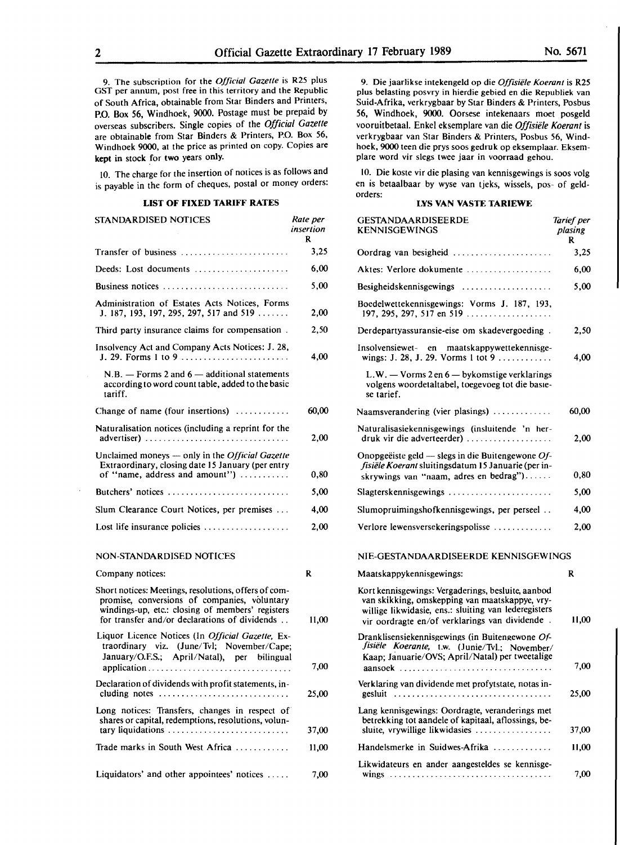9. The subscription for the *Official Gazette* is R25 plus GST per annum, post free in this territory and the Republic of South Africa, obtainable from Star Binders and Printers, P.O. Box 56, Windhoek, 9000. Postage must be prepaid by overseas subscribers. Single copies of the *Official Gazette*  are obtainable from Star Binders & Printers, P.O. Box 56,

Windhoek 9000, at the price as printed on copy. Copies are **kept in** stock for **two** years only. JO. The charge for the insertion of notices is as follows and is payable in the form of cheques, postal or money orders:

#### **LIST OF FIXED TARIFF RATES**

| STANDARDISED NOTICES                                                                                                                                                                                      | Rate per<br>insertion<br>R |
|-----------------------------------------------------------------------------------------------------------------------------------------------------------------------------------------------------------|----------------------------|
| Transfer of business                                                                                                                                                                                      | 3,25                       |
| Deeds: Lost documents                                                                                                                                                                                     | 6,00                       |
|                                                                                                                                                                                                           | 5,00                       |
| Administration of Estates Acts Notices, Forms<br>J. 187, 193, 197, 295, 297, 517 and 519                                                                                                                  | 2,00                       |
| Third party insurance claims for compensation.                                                                                                                                                            | 2,50                       |
| Insolvency Act and Company Acts Notices: J. 28,<br>J. 29. Forms 1 to 9                                                                                                                                    | 4,00                       |
| $N.B. -$ Forms 2 and $6 -$ additional statements<br>according to word count table, added to the basic<br>tariff.                                                                                          |                            |
| Change of name (four insertions)                                                                                                                                                                          | 60,00                      |
| Naturalisation notices (including a reprint for the<br>advertiser)                                                                                                                                        | 2,00                       |
| Unclaimed moneys - only in the Official Gazette<br>Extraordinary, closing date 15 January (per entry<br>of "name, address and amount")                                                                    | 0,80                       |
| Butchers' notices                                                                                                                                                                                         | 5.00                       |
| Slum Clearance Court Notices, per premises                                                                                                                                                                | 4,00                       |
| Lost life insurance policies $\dots \dots \dots \dots \dots$                                                                                                                                              | 2,00                       |
| NON-STANDARDISED NOTICES                                                                                                                                                                                  |                            |
| Company notices:                                                                                                                                                                                          | R                          |
| Short notices: Meetings, resolutions, offers of com-<br>promise, conversions of companies, voluntary<br>windings-up, etc.: closing of members' registers<br>for transfer and/or declarations of dividends | 11,00                      |
| Liquor Licence Notices (In Official Gazette, Ex-<br>traordinary viz. (June/Tvl; November/Cape;<br>January/O.F.S.; April/Natal), per bilingual                                                             | 7,00                       |
| Declaration of dividends with profit statements, in-<br>cluding notes $\dots\dots\dots\dots\dots\dots\dots\dots\dots\dots\dots$                                                                           | 25,00                      |
| Long notices: Transfers, changes in respect of<br>shares or capital, redemptions, resolutions, volun-                                                                                                     |                            |
| tary liquidations<br>Trade marks in South West Africa                                                                                                                                                     | 37,00                      |
|                                                                                                                                                                                                           | 11,00                      |

Liquidators' and other appointees' notices ..... 7,00

9. Die jaarlikse intekengeld op die *Offisiele Koerant* is R25 plus belasting posvry in hierdie gebied en die Republiek van Suid-Afrika, verkrygbaar by Star Binders & Printers, Posbus 56, Windhoek, 9000. Oorsese intekenaars moet posgeld vooruitbetaal. Enke! eksemplare van die *Offisiele Koerant* is verkrygbaar van Star Binders & Printers, Posbus 56, Windhoek, 9000 teen die prys soos gedruk op eksemplaar. Eksemplare word vir slegs twee jaar in voorraad gehou.

IO. Die koste vir die plasing van kennisgewings is soos volg en is bctaalbaar by wysc van tjcks, wisscls, pos- of geldorders:

#### **LYS VAN VASTE TARIEWE**

| <b>GESTANDAARDISEERDE</b><br>KENNISGEWINGS                                                                                                                                                                     | Tarief per<br>plasing<br>R |
|----------------------------------------------------------------------------------------------------------------------------------------------------------------------------------------------------------------|----------------------------|
| Oordrag van besigheid                                                                                                                                                                                          | 3,25                       |
| Aktes: Verlore dokumente                                                                                                                                                                                       | 6,00                       |
| Besigheidskennisgewings                                                                                                                                                                                        | 5,00                       |
| Boedelwettekennisgewings: Vorms J. 187, 193,<br>197, 295, 297, 517 en 519                                                                                                                                      |                            |
| Derdepartyassuransie-eise om skadevergoeding.                                                                                                                                                                  | 2,50                       |
| Insolvensiewet- en maatskappywettekennisge-<br>wings: J. 28, J. 29. Vorms 1 tot 9                                                                                                                              | 4.00                       |
| L.W. - Vorms 2 en 6 - bykomstige verklarings<br>volgens woordetaltabel, toegevoeg tot die basie-<br>se tarief.                                                                                                 |                            |
| Naamsverandering (vier plasings)                                                                                                                                                                               | 60,00                      |
| Naturalisasiekennisgewings (insluitende 'n her-<br>druk vir die adverteerder)                                                                                                                                  | 2.00                       |
| Onopgeëiste geld $-$ slegs in die Buitengewone Of-<br>fisiële Koerant sluitingsdatum 15 Januarie (per in-<br>skrywings van "naam, adres en bedrag")                                                            | 0,80                       |
| Slagterskennisgewings                                                                                                                                                                                          | 5,00                       |
| Slumopruimingshofkennisgewings, per perseel                                                                                                                                                                    | 4,00                       |
| Verlore lewensversekeringspolisse                                                                                                                                                                              | 2,00                       |
| NIE-GESTANDAARDISEERDE KENNISGEWINGS                                                                                                                                                                           |                            |
| Maatskappykennisgewings:                                                                                                                                                                                       | R                          |
| Kort kennisgewings: Vergaderings, besluite, aanbod<br>van skikking, omskepping van maatskappye, vry-<br>willige likwidasie, ens.: sluiting van lederegisters<br>vir oordragte en/of verklarings van dividende. | 11,00                      |
| Dranklisensiekennisgewings (in Buitengewone Of-<br>fisiële Koerante, t.w.<br>(Junie/Tvl.; November/<br>Kaap; Januarie/OVS; April/Natal) per tweetalige<br>aansoek                                              | 7,00                       |
| Verklaring van dividende met profytstate, notas in-<br>gesluit                                                                                                                                                 | 25,00                      |
| Lang kennisgewings: Oordragte, veranderings met<br>betrekking tot aandele of kapitaal, aflossings, be-<br>sluite, vrywillige likwidasies                                                                       | 37,00                      |
| Handelsmerke in Suidwes-Afrika                                                                                                                                                                                 | 11,00                      |
| Likwidateurs en ander aangesteldes se kennisge-                                                                                                                                                                | 7,00                       |
|                                                                                                                                                                                                                |                            |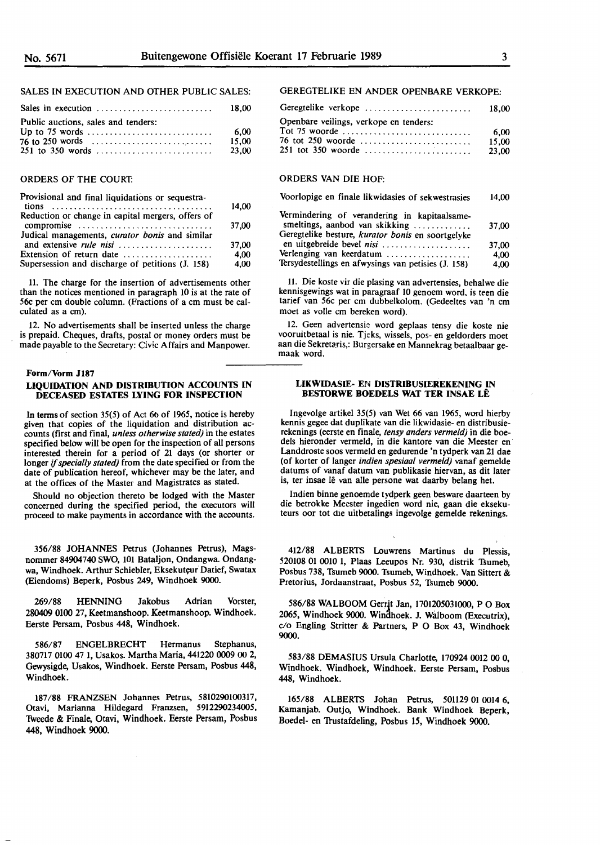#### SALES IN EXECUTION AND OfHER PUBLIC SALES:

| Public auctions, sales and tenders:<br>76 to 250 words $\dots \dots \dots \dots \dots \dots \dots \dots$ | -6.00<br>15.00 |
|----------------------------------------------------------------------------------------------------------|----------------|
|                                                                                                          | 23.00          |

#### ORDERS OF THE COURT:

| Provisional and final liquidations or sequestra-      |       |
|-------------------------------------------------------|-------|
|                                                       | 14.00 |
| Reduction or change in capital mergers, offers of     |       |
| compromise                                            | 37,00 |
| Judical managements, <i>curator bonis</i> and similar |       |
| and extensive <i>rule nisi</i>                        | 37.00 |
| Extension of return date                              | 4,00  |
| Supersession and discharge of petitions (J. 158)      | 4.00  |
|                                                       |       |

11. The charge for the insertion of advertisements other than the notices mentioned in paragraph IO is at the rate of **56c** per cm double column. (Fractions of a cm must be calculated as a cm).

12. No advertisements shall be inserted unless the charge is prepaid. Cheques, drafts, postal or money orders must be made payable to the Secretary: Civic Affairs and Manpower.

#### **Form/Vorm** Jl87

#### **LIQUIDATION AND DISTRIBUTION ACCOUNTS IN DECEASED ESTATES LYING FOR INSPECTION**

In terms of section 35(5) of Act **66** of 1965, notice is hereby given that copies of the liquidation and distribution accounts (first and final, *unless otherwise stated)* in the estates specified below will be open for the inspection of all persons interested therein for a period of 21 days (or shorter or longer if *specially stated)* from the date specified or from the date of publication hereof, whichever may be the later, and at the offices of the Master and Magistrates as stated.

Should no objection thereto be lodged with the Master concerned during the specified period, the executors will proceed to make payments in accordance with the accounts.

356/88 JOHANNES Petrus (Johannes Petrus), Magsnommer 84904740 SWO, IOI Bataljon, Ondangwa. Ondangwa, Windhoek. Arthur Schiebler, Eksekuteur Datief, Swatax (Eiendoms) Beperk, Posbus 249, Windhoek 9000.

269/88 HENNING Jakobus Adrian Vorster, **280409 0100** 27, Keetmanshoop. Keetmanshoop. Windhoek. Eerste Persam, Posbus 448, Windhoek.

586/87 ENGELBRECHT Hermanus Stephanus, 380717 0100 47 I, Usakos. Martha Maria, 441220 0009 00 2, Gewysigde, Usakos, Windhoek. Eerste Persam, Posbus 448, Windhoek.

187/88 FRANZSEN Johannes Petrus, 5810290100317, Otavi, Marianna Hildegard Franzsen, 5912290234005, Tweede & Finale, Otavi, Windhoek. Eerste Persam, Posbus 448, Windhoek 9000.

#### GEREGTELIKE EN ANDER OPENBARE VERKOPE:

| Geregtelike verkope                    | 18.00 |
|----------------------------------------|-------|
| Openbare veilings, verkope en tenders: |       |
|                                        | 6.00  |
| 76 tot 250 woorde                      | 15.00 |
| 251 tot 350 woorde                     | 23.00 |

#### ORDERS VAN DIE HOF:

| Voorlopige en finale likwidasies of sekwestrasies                                                                                   | 14,00 |
|-------------------------------------------------------------------------------------------------------------------------------------|-------|
| Vermindering of verandering in kapitaalsame-<br>smeltings, aanbod van skikking<br>Geregtelike besture, kurator bonis en soortgelyke | 37.00 |
| en uitgebreide bevel nisi                                                                                                           | 37,00 |
| Verlenging van keerdatum                                                                                                            |       |

Verlenging van keerdatum .................. . Tersydestellings en afwysings **van** petisies **(J.** 158) 4,00 4,00

11. Die koste vir die plasing van advertensies, behalwe die kennisgewings wat in paragraaf **10** genoem word. is teen die tarief van 56c per cm dubbelkolom. (Gedeeltes **van** 'n cm moet as voile cm bereken word).

12. Geen advertensie word geplaas tensy die koste nie vooruitbetaal is nie. Tjeks, wissels, pos- en geldorders moet aan die Sekretaris,: Burgersake en Mannekrag betaalbaar gemaak word.

#### **LIKWIDASIE-** EN **DISTRIBUSIEREKENING IN BES10RWE BOEDELS WAT TER INSAE LE**

lngevolge artikel 35(5) van Wet 66 van 1965, word hierby kennis gegee dat duplikate van die likwidasie- en distribusierekenings (eerste en finale, *tensy anders vermeld)* in die boedels hieronder vermeld, in die kantore van die Meester en Landdroste soos vermeld en gedurende 'n tydperk van 21 dae (of korter of langer *indien spesiaal vermeld)* vanaf gemelde datums **of** vanaf **datum** van publikasie hiervan, as **dit** later is, ter insae lê van alle persone wat daarby belang het.

Indien binne genoemde tydperk geen besware daarteen by die betrokke Meester ingedien word nie, gaan die eksekuteurs oor tot die uitbetalings ingevolge gemelde rekenings.

412/88 ALBERTS Louwrens Martinus du Plessis, 520108 01 0010 1, Plaas Leeupos Nr. 930, distrik Tsumeb, Posbus 738, Tsumeb 9000. Tsumeb, Windhoek. Van Sittert & Pretorius, Jordaanstraat, Posbus 52, Tsumeb 9000.

586/88 WALBOOM Gerrjt Jan, 1701205031000, PO Box 2065, Windhoek 9000. Win3hoek. J. Walboom (Executrix), c/o Engling Stritter & Partners, P O Box 43, Windhoek **9000.** 

583/88 DEMASIUS Ursula Charlotte, 170924 0012 00 0, Windhoek. Windhoek, Windhoek. Eerste Persam, Posbus 448, Windhoek.

165/88 ALBERTS Johan Petrus, 501129 01 0014 6, Kamanjab. Outjo, Windhoek. Bank Windhoek Beperk, Boedel- en 1rustafdeling, Posbus 15, Windhoek 9000.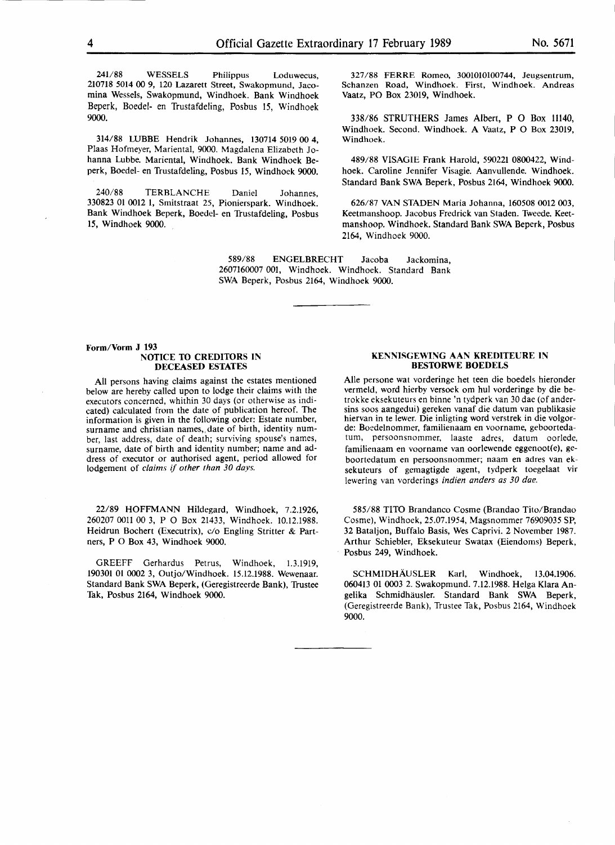241/88 WESSELS Philippus Loduwecus, 210718 5014 00 9, 120 Lazarett Street, Swakopmund, Jacomina Wessels, Swakopmund, Windhoek. Bank Windhoek Beperk, Boedel- en Trustafdeling, Posbus 15, Windhoek 9000.

314/88 WBBE Hendrik Johannes, 130714 5019 00 4, Plaas Hofmeyer, Mariental, 9000. Magdalena Elizabeth Johanna Lubbe. Mariental, Windhoek. Bank Windhoek Beperk, Boedel- en Trustafdeling, Posbus 15, Windhoek 9000.

**240/88** TERBLANCHE Daniel Johannes, 330823 01 0012 1, Smitstraat 25, Pionierspark. Windhoek. Bank Windhoek Beperk, Boedel- en Trustafdeling, Posbus 15, Windhoek 9000. ,

327 /88 FERRE Romeo, 3001010100744, Jeugsentrum, Schanzen Road, Windhoek. First, Windhoek. Andreas Vaatz, PO Box 23019, Windhoek.

338/86 STRUTHERS James Albert, P O Box 11140, Windhoek. Second. Windhoek. A Vaatz, P O Box 23019, Windhoek.

489/88 VISAGIE Frank Harold, 590221 0800422, Windhoek. Caroline Jennifer Visagie. Aanvullende. Windhoek. Standard Bank SWA Beperk, Posbus 2164, Windhoek 9000.

626/87 VAN STADEN Maria Johanna, 160508 0012 003, Keetmanshoop. Jacobus Fredrick van Staden. Tweede. Keetmanshoop. Windhoek. Standard Bank SWA Beperk, Posbus 2164, Windhoek 9000.

589/88 ENGELBRECHT Jacoba Jackomina, 2607160007 001, Windhoek. Windhoek. Standard Bank SWA Beperk, Posbus 2164, Windhoek 9000.

#### Form/Vorm J 193 **NOTICE TO CREDITORS IN DECEASED ESTATES**

All persons having claims against the estates mentioned below are hereby called upon to lodge their claims with the executors concerned, whithin 30 days (or otherwise as indicated) calculated from the date of publication hereof. The information is given in the following order: Estate number, surname and christian names,,date of birth, identity number, last address, date of death; surviving spouse's names, surname, date of birth and identity number; name and address of executor or authorised agent, period allowed for lodgement of *claims* if *other than 30 days.* 

22/89 HOFFMANN Hildegard, Windhoek, 7.2.1926, 260207 0011 00 3, P O Box 21433, Windhoek. 10.12.1988. Heidrun Bochert (Executrix), c/o Engling Stritter & Partners, P O Box 43, Windhoek 9000.

GREEFF Gerhardus Petrus, Windhoek, 1.3.1919, 190301 01 0002 3, Outjo/Windhoek. 15.12.1988. Wewenaar. Standard Bank SWA Beperk, (Geregistreerde Bank), Trustee Tak, Posbus 2164, Windhoek 9000.

#### **KENNISGEWING AAN KREDITEURE IN BESTORWE BOEDELS**

Alie persone wat vorderinge het teen die boedels hieronder vermeld, word hierby versoek om hul vorderinge by die betrokke eksekuteurs en binne 'n tydperk van 30 dae (of andersins soos aangedui) gereken vanaf die datum van publikasie hiervan in te lewer. Die inligting word verstrek in die volgorde: Boedelnommer, familienaam en voorname, geboortedatum, persoonsnommer, laaste adres, datum oorlede, familienaam en voorname van oorlewende eggenoot(e), geboortedatum en persoonsnommer; naam en adres van eksekuteurs of gemagtigde agent, tydperk toegelaat vir lewering van vorderings *indien anders as 30 dae.* 

585/88 Tl10 Brandanco Cosme (Brandao Tito/Brandao Cosme), Windhoek, 25.07.1954, Magsnommer 76909035 SP, 32 Bataljon, Buffalo Basis, Wes Caprivi. 2 November 1987. Arthur Schiebler, Eksekuteur Swatax (Eiendoms) Beperk, Posbus 249, Windhoek.

SCHMIDHAUSLER Karl, Windhoek, 13.04.1906. 060413 01 0003 2. Swakopmund. 7.12.1988. Helga Klara Angelika Schmidhausler. Standard Bank SWA Beperk, (Geregistreerde Bank), Trustee Tak, Posbus 2164, Windhoek 9000.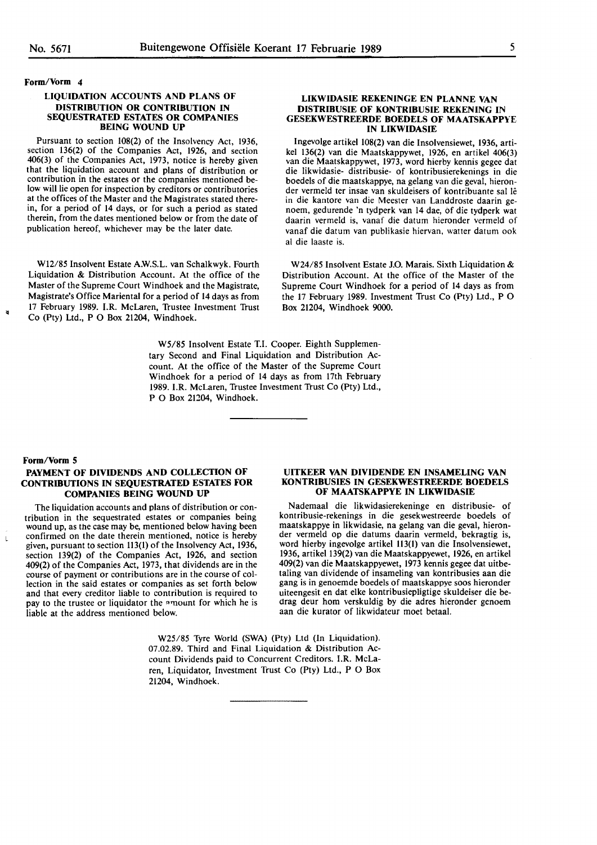**Form/Vorm 4** 

#### **LIQUIDATION ACCOUNTS AND PLANS OF DISTRIBUTION OR CONTRIBUTION IN SEQUESTRATED ESTATES OR COMPANIES BEING WOUND UP**

Pursuant to section 108(2) of the Insolvency Act, 1936, section 136(2) of the Companies Act, 1926, and section 406(3) of the Companies Act, 1973, notice is hereby given contribution in the estates or the companies mentioned below will lie open for inspection by creditors or contributories at the offices of the Master and the Magistrates stated therein, for a period of 14 days, or for such a period as stated therein, from the dates mentioned below or from the date of publication hereof, whichever may be the later date.

W12/85 Insolvent Estate A.W.S.L. van Schalkwyk. Fourth Liquidation & Distribution Account. At the office of the Master of the Supreme Court Windhoek and the Magistrate, Magistrate's Office Mariental for a period of 14 days as from 17 February 1989. LR. McLaren, Trustee Investment Trust Co (Pty) Ltd., P O Box 21204, Windhoek.

> W5/85 Insolvent Estate T.I. Cooper. Eighth Supplementary Second and Final Liquidation and Distribution Account. At the office of the Master of the Supreme Court Windhoek for a period of 14 days as from 17th February 1989. I.R. McLaren, Trustee Investment Trust Co (Pty) Ltd., P O Box 21204, Windhoek.

#### **LIKWIDASIE REKENINGE EN PLANNE VAN DISTRIBUSIE OF KONTRIBUSIE REKENING** IN **GESEKWESTREERDE BOEDELS OF MAATSKAPPYE IN LIKWIDASIE**

lngevolge artikel 108(2) van die lnsolvensiewet, 1936, artikel 136(2) van die Maatskappywet, 1926, en artikel 406(3) van die Maatskappywet, 1973, word hierby kennis gegee dat die. likwidasie- distribusie- of kontribusierekenings in die boedels of die maatskappye, na gelang van die geval, hieronder vermeld ter insae van skuldeisers of kontribuante sal le in die kantore van die Meester van Landdroste daarin genoem, gedurende 'n tydperk van 14 dae, of die tydperk wat daarin vermeld is, vanaf die datum hieronder vermeld of vanaf die datum van publikasie hiervan, watter datum ook al die laaste is.

W24/85 Insolvent Estate J.O. Marais. Sixth Liquidation & Distribution Account. At the office of the Master of the Supreme Court Windhoek for a period of 14 days as from the 17 February 1989. Investment Trust Co (Pty) Ltd., P 0 Box 21204, Windhoek 9000.

#### **Form/Vorm 5**

 $\ddot{ }$ 

#### **PAYMENT OF DIVIDENDS AND COLLECTION OF CONTRIBUTIONS IN SEQUESTRATED ESTATES FOR COMPANIES BEING WOUND UP**

The liquidation accounts and plans of distribution or contribution in the sequestrated estates or companies being wound up, as the case may be, mentioned below having been confirmed on the date therein mentioned, notice is hereby given, pursuant to section 113(1) of the Insolvency Act, 1936, section 139(2) of the Companies Act, 1926, and section 409(2) of the Companies Act, 1973, that dividends are in the course of payment or contributions are in the course of collection in the said estates or companies as set forth below and that every creditor liable to contribution is required to pay to the trustee or liquidator the amount for which he is liable at the address mentioned below.

#### **UITKEER VAN. DIVIDENDE EN INSAMELING VAN KONTRIBUSIES IN GESEKWESTREERDE BOEDELS OF MAATSKAPPYE** IN **LIKWIDASIE**

Nademaal die likwidasierekeninge en distribusie- of kontribusie-rekenings in die gesekwestreerde boedels of maatskappye in likwidasie, na gelang van die geval, hieronder vermeld op die datums daarin vermeld, bekragtig is, word hierby ingevolge artikel 113(1) van die Insolvensiewet, 1936, artikel 139(2) van die Maatskappyewet, 1926, en artikel 409(2) van die Maatskappyewet, 1973 kennis gegee dat uitbetaling van dividende of insameling van kontribusies aan die gang is in genoemde boedels of maatskappye soos hieronder uiteengesit en dat elke kontribusiepligtige skuldeiser die bedrag deur horn verskuldig by die adres hieronder genoem aan die kurator of likwidateur moet betaal.

W25/85 Tyre World (SWA) (Pty) Ltd (In Liquidation). 07 .02.89. Third and Final Liquidation & Distribution Account Dividends paid to Concurrent Creditors. l.R. McLaren, Liquidator, Investment Trust Co (Pty) Ltd., P O Box 21204, Windhoek.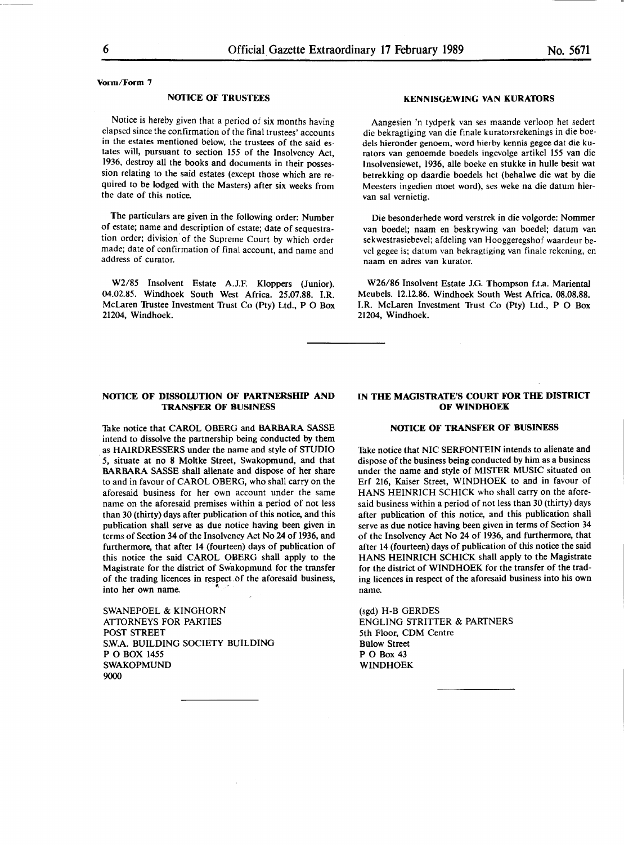**Vorm/Form** 7

#### **NOTICE OF TRUSTEES**

Notice is hereby given that a period of six months having elapsed since the confirmation of the final trustees' accounts in the estates mentioned below, the trustees of the said estates will, pursuant to section 155 of the Insolvency Act, 1936, destroy all the books and documents in their possession relating to the said estates (except those which are required to be lodged with the Masters) after six weeks from the date of this notice.

The particulars are given in the following order: Number of estate; name and description of estate; date of sequestration order; division· of the Supreme Court by which order made; date of confirmation of final account, and name and address of curator.

W2/85 Insolvent Estate A.J.F. Kloppers (Junior). 04.02.85. Windhoek South West Africa. 25.07.88. LR. McLaren 'Irustee Investment 'Irust Co (Pty) Ltd., P O Box 21204, Windhoek.

#### **NOfICE OF DISSOUJTION OF PARTNERSHIP AND TRANSFER OF BUSINESS**

Take notice that CAROL OBERG and **BARBARA** SASSE intend to dissolve the partnership being conducted by them as HAIRDRESSERS under the name and style of STUDIO · *5,* situate at no 8 Moltke Street, Swakopmund, and that BARBARA SASSE shall alienate and dispose of her share to and in favour of CAROL OBERG, who shall carry on the aforesaid business for her own account under the same name on the aforesaid premises within a period of not less than 30 (thirty) days after publication of this notice, and this publication shall serve as due notice having been given in terms of Section 34 of the Insolvency Act No 24 of 1936, and furthermore, that after 14 (fourteen) days of publication of this notice the said CAROL **OBERG** shall apply to the Magistrate for the district of Swakopmund for the transfer of the trading licences in respect.of the aforesaid business, into her own name.

SWANEPOEL & KINGHORN ATIORNEYS FOR PARTIES POST STREET SW.A. BUILDING SOCIETY BUILDING PO BOX 1455 SWAKOPMUND 9000

#### **KENNISGEWING VAN KURATORS**

Aangesien 'n tydperk van ses maande verloop het sedert die bekragtiging van die finale kuratorsrekenings in die boedels hieronder genoem, word hierby kennis gegee dat die kurators van genoemde boedels ingevolge artikel 155 van die Insolvensiewet, 1936, alle boeke en stukke in hulle besit wat betrekking op daardie boedels het (behalwe die wat by die Meesters ingedien moet word), ses weke na die datum biervan sal vernietig.

Die besonderhede word verstrek in die volgorde: Nommer van boedel; naam en beskrywing van boedel; datum van sekwestrasiebevel; afdeling van Hooggeregshof waardeur bevel gegee is; datum van bekragtiging van finale rekening, en naam en adres van kurator.

W26/86 Insolvent Estate J.G. Thompson f.t.a. Mariental Meubels. 12.12.86. Windhoek South West Africa. 08.08.88. LR. McLaren Investment 'Trust Co (Pty) Ltd., P O Box 21204, Windhoek.

#### **IN THE MAGISTRATE'S COURT FOR THE DISTRICT OF WINDHOEK**

#### **NOflCE OF TRANSFER OF BUSINESS**

Take notice that NIC SERFONTEIN intends to alienate and dispose of the business being conducted by him as a business under the name and style of MISTER MUSIC situated on Erf 216, Kaiser Street, WINDHOEK to and in favour of **HANS** HEINRICH SCHICK who shall carry on the aforesaid business within a period of not less than 30 (thirty) days after publication of this notice, and this publication shall serve as due notice having been given in terms of Section 34 of the Insolvency Act No 24 of 1936, and furthermore, that after 14 (fourteen) days of publication of this notice the said HANS HEINRICH SCHICK shall apply to the Magistrate for the district of WINDHOEK for the transfer of the trading licences in respect of the aforesaid business into his own name.

(sgd) H-B GERDES ENGLING **STRITTER** & **PAKfNERS**  5th Floor, COM Centre Billow Street PO Box 43 WINDHOEK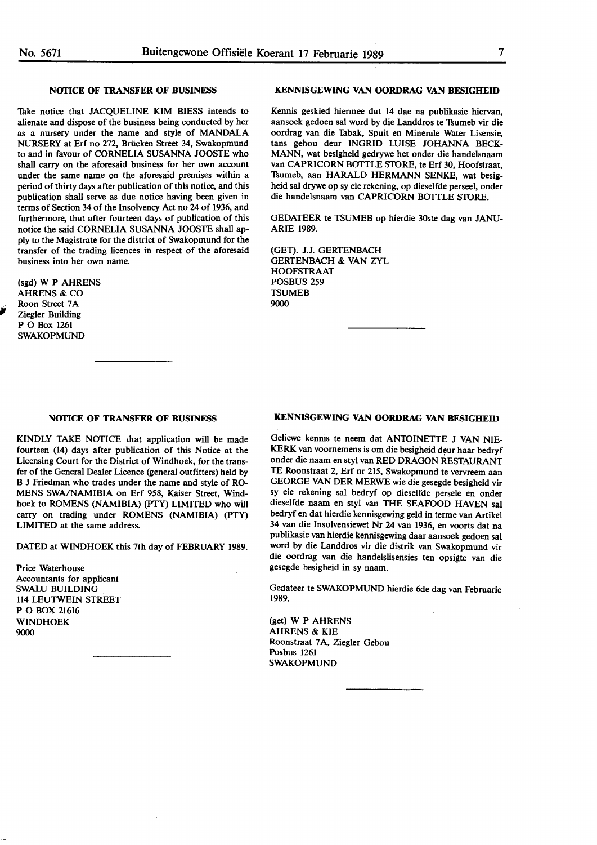#### **NOfICE OF TRANSFER OF BUSINESS**

Take notice that JACQUELINE KIM BIESS intends to alienate and dispose of the business being conducted by her as a nursery under the name and style of MANDALA NURSERY at Erf no 272, Brucken Street 34, Swakopmund to and in favour of CORNELIA SUSANNA JOOSTE who shall carry on the aforesaid business for her own account under the same name on the aforesaid premises within a period of thirty days after publication of this notice, and this publication shall serve as due notice having been given in terms of Section 34 of the Insolvency Act no 24 of 1936, and furthermore, that after fourteen days of publication of this notice the said CORNELIA SUSANNA JOOSTE shall apply to the Magistrate for the district of Swakopmund for the transfer of the trading licences in respect of the aforesaid business into her own name.

(sgd) **W P AHRENS AHRENS & CO** Roon Street 7A Ziegler Building PO Box <sup>1261</sup> **SWAKOPMUND** 

#### **NOfICE OF TRANSFER OF BUSINESS**

KINDLY TAKE NOTICE that application will be made fourteen (14) days after publication of this Notice at the Licensing Court for the District of Windhoek, for the transfer of the General Dealer Licence (general outfitters) held by B J Friedman who trades under the name and style of RO-MENS SWA/NAMIBIA on Erf 958, Kaiser Street, Windhoek to ROMENS (NAMIBIA) (PTY) LIMITED who will carry on trading under ROMENS (NAMIBIA) (PTY) LIMITED at the same address.

DATED at WINDHOEK this 7th day of FEBRUARY 1989.

Price Waterhouse Accountants for applicant SWALU BUILDING 114 LEUTWEIN STREET PO BOX 21616 WINDHOEK 9000

#### **KENNISGEWING VAN OORDRAG VAN BESIGHEID**

Kennis geskied hiermee dat 14 dae na publikasie hiervan, aansoek gedoen sal word by die Landdros te Tsumeb vir die oordrag van die Tabak, Spuit en Minerale Water Lisensie. tans gehou deur INGRID LUISE JOHANNA BECK-MANN, wat besigheid gedrywe het onder die handelsnaam van CAPRICORN BOTTLE STORE, te Erf 30, Hoofstraat, Tsumeb, aan HARALD HERMANN SENKE, wat besigheid sal drywe op sy eie rekening, op dieselfde perseel, onder die handelsnaam van CAPRICORN BOTTLE STORE.

GEDATEER te TSUMEB op hierdie 30ste dag van JANU-ARIE 1989.

(GET). J.J. GERTENBACH GERTENBACH & VAN ZYL HOOFSTRAAT POSBUS 259 **TSUMEB** 9000

#### **KENNISGEWING VAN OORDRAG VAN BESIGHEID**

Geliewe kennis te neem dat ANTOINETTE J VAN NIE-KERK van voornemens is om die besigheid deur haar bedryf onder die naam en styl van RED DRAGON RESTAURANT TE Roonstraat 2, Erf nr 215, Swakopmund te vervreem aan GEORGE VAN DER MERWE wie die gesegde besigheid vir sy eie rekening sal bedryf op dieselfde persele en onder dieselfde naam en styl van THE SEAFOOD **HAVEN** sal bedryf en dat hierdie kennisgewing geld in terme van Artikel 34 van die Insolvensiewet Nr 24 van 1936, en voorts dat na publikasie van hierdie kennisgewing daar aansoek gedoen sal word by die Landdros vir die distrik van Swakopmund vir die oordrag van die handelslisensies ten opsigte van die gesegde besigheid in sy naam.

Gedateer te SWAKOPMUND hierdie 6de dag van Februarie 1989.

(get) W P AHRENS AHRENS & KIE Roonstraat 7A, Ziegler Gebou Posbus 1261 SWAKOPMUND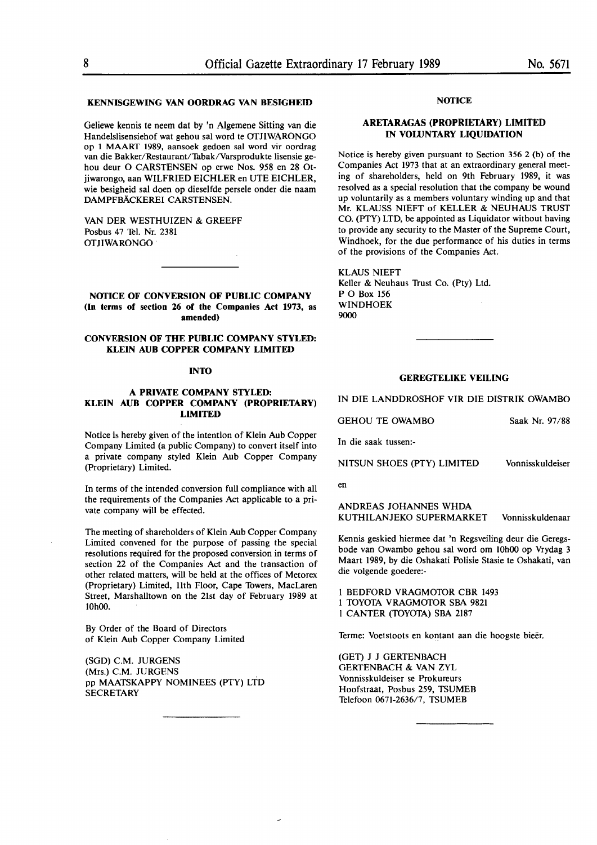#### **KENNISGEWING VAN OORDRAG VAN BESIGHEID**

Geliewe kennis te neem dat by 'n Algemene Sitting van die Handelslisensiehof wat gehou sal word te OfJIWARONGO op 1 MAARf 1989, aansoek gedoen sal word vir oordrag van die Bakker/Restaurant/Tabak/Varsprodukte lisensie gehou deur O CARSTENSEN op erwe Nos. 958 en 28 Otjiwarongo, aan WILFRIED EICHLER en UTE EICHLER, wie besigheid sal doen op dieselfde persele onder die naam DAMPFBACKEREI CARSTENSEN.

VAN DER WESTHUIZEN & GREEFF Posbus 47 Tel. Nr. 2381 OTJIWARONGO ·

**NOTICE OF CONVERSION OF PUBLIC COMPANY (In terms of section 26 of the Companies Act 1973, as amended)** 

#### **CONVERSION OF fflE PUBLIC COMPANY STYLED: KLEIN AUB COPPER COMPANY LIMITED**

#### **INTO**

#### **A PRIVATE COMPANY STYLED: KLEIN AUD COPPER COMPANY (PROPRIETARY) LIMITED**

Notice is hereby given of the intention of Klein Aub Copper Company Limited (a public Company) to convert itself into a private company styled Klein Aub Copper Company (Proprietary) Limited.

In terms of the intended conversion full compliance with all the requirements of the Companies Act applicable to a private company will be effected.

The meeting of shareholders of Klein Aub Copper Company Limited convened for the purpose of passing the special resolutions required for the proposed conversion in terms of section 22 of the Companies Act and the transaction of other related matters, will be held at the offices of Metorex (Proprietary) Limited, llth Floor, Cape Towers, MacLaren Street, Marshalltown on the 21st day of February 1989 at 10h00.

By Order of the Board of Directors of Klein Aub Copper Company Limited

(SOD) C.M. JURGENS (Mrs.) C.M. JURGENS pp MAATSKAPPY NOMINEES (PTY) LTD **SECRETARY** 

#### **NOTICE**

#### **ARETARAGAS (PROPRIETARY) LIMITED IN VOLUNTARY LIQUIDATION**

Notice is hereby given pursuant to Section  $356$  2 (b) of the Companies Act 1973 that at an extraordinary general meeting of shareholders, held on 9th February 1989, it was resolved as a special resolution that the company be wound up voluntarily as a members voluntary winding up and that Mr. KLAUSS NIEFT of KELLER & NEUHAUS TRUST CO. (PTY) LTD, be appointed as Liquidator without having to provide any security to the Master of the Supreme Court, Windhoek, for the due performance of his duties in terms of the provisions of the Companies Act.

KLAUS NIEFT Keller & Neuhaus Trust Co. (Pty) Ltd. PO Box 156 WINDHOEK 9000

#### **GEREGTELIKE VEILING**

IN DIE LANDDROSHOF VIR DIE DISTRIK OWAMBO

| <b>GEHOU TE OWAMBO</b> | Saak Nr. 97/88 |  |
|------------------------|----------------|--|
|------------------------|----------------|--|

In die saak tussen:-

NITSUN SHOES (PTY) LIMITED Vonnisskuldeiser

en

**ANDREAS JOHANNES WHOA KUTHILANJEKO SUPERMARKET** Vonnisskuldenaar

Kennis geskied hiermee dat 'n Regsveiling deur die Geregsbode van Owambo gehou sal word om 10h00 op Vrydag 3 Maart 1989, by die Oshakati Polisie Stasie te Oshakati, van die volgende goedere:-

I **BEDFORD VRAGMOfOR CBR** 1493 I **TOYOfA VRAGMOfOR SBA 9821**  I CANTER (TOYOTA) SBA 2187

Terme: Voetstoots en kontant aan die hoogste bieër.

(GET) J J GERTENBACH GERTENBACH & VAN ZYL Vonnisskuldeiser se Prokureurs Hoofstraat, Posbus 259, TSUMEB Telefoon 0671-2636/7, TSUMEB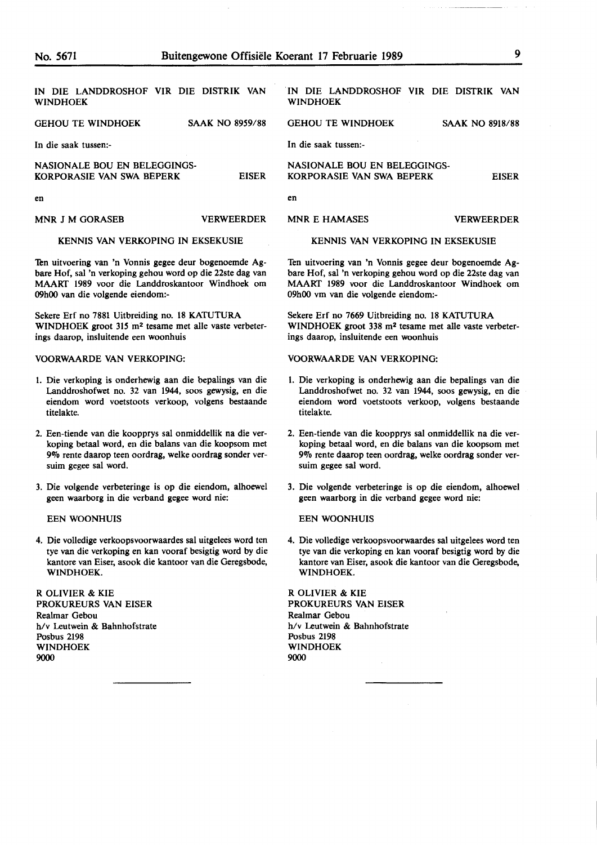| IN DIE LANDDROSHOF VIR DIE DISTRIK VAN<br><b>WINDHOEK</b> |                        | DIE LANDDROSHOF VIR DIE DISTRIK VAN<br>IN<br><b>WINDHOEK</b> |                        |
|-----------------------------------------------------------|------------------------|--------------------------------------------------------------|------------------------|
| <b>GEHOU TE WINDHOEK</b>                                  | <b>SAAK NO 8959/88</b> | <b>GEHOU TE WINDHOEK</b>                                     | <b>SAAK NO 8918/88</b> |
| In die saak tussen:-                                      |                        | In die saak tussen:-                                         |                        |
| NASIONALE BOU EN BELEGGINGS-<br>KORPORASIE VAN SWA BEPERK | <b>EISER</b>           | NASIONALE BOU EN BELEGGINGS-<br>KORPORASIE VAN SWA BEPERK    | <b>EISER</b>           |
| en                                                        |                        | en                                                           |                        |
| MNR J M GORASEB                                           | <b>VERWEERDER</b>      | MNR E HAMASES                                                | <b>VERWEERDER</b>      |

#### KENNIS VAN VERKOPING IN EKSEKUSIE

Ten uitvoering van 'n Vonnis gegee deur bogenoemde Agbare Hof, sal 'n verkoping gehou word op die 22ste dag van MAART 1989 voor die Landdroskantoor Windhoek om 09h00 van die volgende eiendom:-

Sekere Erf no 7881 Uitbreiding no. 18 KATUTURA WINDHOEK groot 31S m2 tesame met alle vaste verbeterings daarop, insluitende een woonhuis

#### **VOORWAARDE VAN VERKOPING:**

- 1. Die verkoping is onderhewig aan die bepalings van die Landdroshofwet no. 32 van 1944, soos **gewysig,** en die eiendom word voetstoots verkoop, volgens bestaande titelakte.
- 2. Een-tiende van die koopprys sal onmiddellik na die verkoping betaal word, en die balans van die koopsom met 9% rente daarop teen oordrag, welke oordrag sonder versuim gegee sal word.
- 3. Die volgende verbeteringe is op die eiendom, alhoewel geen waarborg in die verband gegee word nie:

EEN WOONHUIS

4. Die volledige verkoopsvoorwaardes sal uitgelees word ten tye van die verkoping en kan vooraf besigtig word by die kantore van Eiser, asook die kantoor van die Geregsbode, WINDHOEK.

**R** OLIVIER & **KIE PROKUREURS VAN** EISER Realmar Gebou h/v Leutwein & Bahnhofstrate Posbus 2198 WINDHOEK 9000

#### **KENNIS VAN VERKOPING IN EKSEKUSIE**

Ten uitvoering van 'n Vonnis gegee deur bogenoemde Agbare Hof, sal 'n verkoping gehou word op die 22ste dag van MAART 1989 voor die Landdroskantoor Windhoek om 09h00 vm van die volgende eiendom:-

Sekere Erf no 7669 Uitbreiding no. 18 KATUTURA WINDHOEK groot 338 m2 tesame met alle vaste verbeterings daarop, insluitende een woonhuis

#### **VOORWAARDE VAN VERKOPING:**

- 1. Die verkoping is onderhewig aan die bepalings van die Landdroshofwet no. 32 van 1944, soos **gewysig,** en die eiendom word voetstoots verkoop, volgens bestaande titelakte.
- 2. Een-tiende van die koopprys sal onmiddellik na die verkoping betaal word, en die balans van die koopsom met 9% rente daarop teen oordrag, welke oordrag sonder versuim gegee sal word.
- 3. Die volgende verbeteringe is op die eiendom, alhoewel geen waarborg in die verband gegee word nie:

#### EEN WOONHUIS

4. Die volledige verkoopsvoorwaardes sal uitgelees word ten tye van die verkoping en kan vooraf besigtig word by die kantore van Eiser, asook die kantoor van die Geregsbode, WINDHOEK.

**R** OLIVIER & **KIE PROKUREURS VAN** EISER Realmar Gebou h/v Leutwein & Bahnhofstrate Posbus 2198 WINDHOEK 9000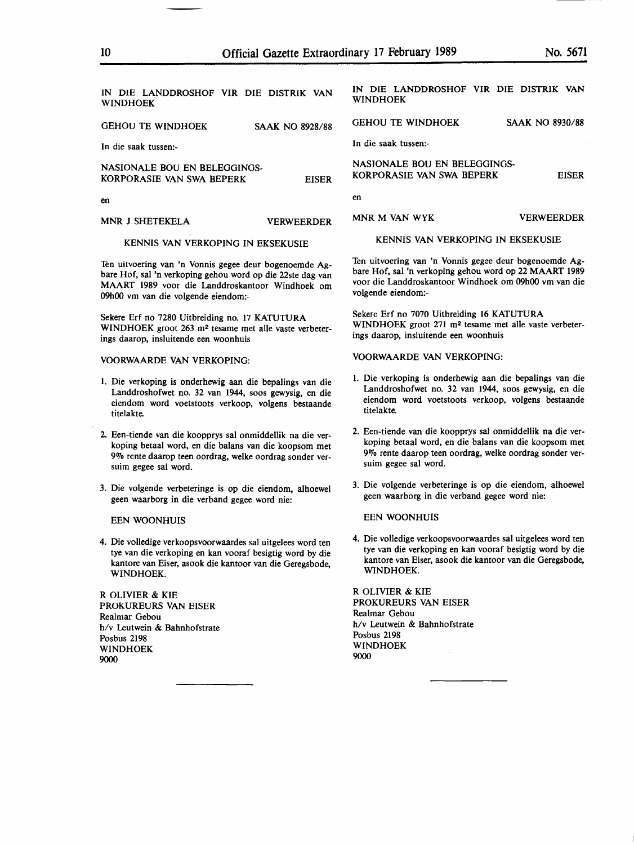| IN DIE LANDDROSHOF VIR DIE DISTRIK VAN                            | IN DIE LANDDROSHOF VIR DIE DISTRIK VAN                            |  |
|-------------------------------------------------------------------|-------------------------------------------------------------------|--|
| <b>WINDHOEK</b>                                                   | <b>WINDHOEK</b>                                                   |  |
| <b>GEHOU TE WINDHOEK</b>                                          | <b>GEHOU TE WINDHOEK</b>                                          |  |
| <b>SAAK NO 8928/88</b>                                            | <b>SAAK NO 8930/88</b>                                            |  |
| In die saak tussen:-                                              | In die saak tussen:-                                              |  |
| NASIONALE BOU EN BELEGGINGS-                                      | NASIONALE BOU EN BELEGGINGS-                                      |  |
| KORPORASIE VAN SWA BEPERK                                         | KORPORASIE VAN SWA BEPERK                                         |  |
| <b>EISER</b>                                                      | <b>EISER</b>                                                      |  |
| en                                                                | en                                                                |  |
| MNR J SHETEKELA                                                   | <b>VERWEERDER</b>                                                 |  |
| <b>VERWEERDER</b>                                                 | MNR M VAN WYK                                                     |  |
| KENNIS VAN VERKOPING IN EKSEKUSIE                                 | KENNIS VAN VERKOPING IN EKSEKUSIE                                 |  |
| Ten uitvoering van 'n Vonnis gegee deur bogenoemde Ag-            | Ten uitvoering van 'n Vonnis gegee deur bogenoemde Ag-            |  |
| bare Hof, sal 'n verkoping gehou word op die 22ste dag van        | bare Hof, sal 'n verkoping gehou word op 22 MAART 1989            |  |
| MAART 1989 voor die Landdroskantoor Windhoek om                   | voor die Landdroskantoor Windhoek om 09h00 vm van die             |  |
| 09h00 vm van die volgende eiendom:-                               | volgende eiendom:-                                                |  |
| Sekere Erf no 7280 Uitbreiding no. 17 KATUTURA                    | Sekere Erf no 7070 Uitbreiding 16 KATUTURA                        |  |
| WINDHOEK groot 263 m <sup>2</sup> tesame met alle vaste verbeter- | WINDHOEK groot 271 m <sup>2</sup> tesame met alle vaste verbeter- |  |
| ings daarop, insluitende een woonhuis                             | ings daarop, insluitende een woonhuis                             |  |
| VOORWAARDE VAN VERKOPING:                                         | VOORWAARDE VAN VERKOPING:                                         |  |
| 1. Die verkoping is onderhewig aan die bepalings van die          | 1. Die verkoping is onderhewig aan die bepalings van die          |  |
| Landdroshofwet no. 32 van 1944, soos gewysig, en die              | Landdroshofwet no. 32 van 1944, soos gewysig, en die              |  |
| eiendom word voetstoots verkoop, volgens bestaande                | eiendom word voetstoots verkoop, volgens bestaande                |  |
| titelakte.                                                        | titelakte.                                                        |  |
| 2. Een-tiende van die koopprys sal onmiddellik na die ver-        | 2. Een-tiende van die koopprys sal onmiddellik na die ver-        |  |
| koping betaal word, en die balans van die koopsom met             | koping betaal word, en die balans van die koopsom met             |  |
| 9% rente daarop teen oordrag, welke oordrag sonder ver-           | 9% rente daarop teen oordrag, welke oordrag sonder ver-           |  |
| suim gegee sal word.                                              | suim gegee sal word.                                              |  |
| 3. Die volgende verbeteringe is op die eiendom, alhoewel          | 3. Die volgende verbeteringe is op die eiendom, alhoewel          |  |
| geen waarborg in die verband gegee word nie:                      | geen waarborg in die verband gegee word nie:                      |  |
| <b>EEN WOONHUIS</b>                                               | <b>EEN WOONHUIS</b>                                               |  |
| 4. Die volledige verkoopsvoorwaardes sal uitgelees word ten       | 4. Die volledige verkoopsvoorwaardes sal uitgelees word ten       |  |
| tye van die verkoping en kan vooraf besigtig word by die          | tye van die verkoping en kan vooraf besigtig word by die          |  |
| kantore van Eiser, asook die kantoor van die Geregsbode,          | kantore van Eiser, asook die kantoor van die Geregsbode,          |  |
| WINDHOEK.                                                         | WINDHOEK.                                                         |  |
| r olivier & kie                                                   | R OLIVIER & KIE                                                   |  |
| PROKUREURS VAN EISER                                              | PROKUREURS VAN EISER                                              |  |
| Realmar Gebou                                                     | Realmar Gebou                                                     |  |
| h/v Leutwein & Bahnhofstrate                                      | h/v Leutwein & Bahnhofstrate                                      |  |
| Posbus 2198                                                       | Posbus 2198                                                       |  |
| WINDHOEK                                                          | WINDHOEK                                                          |  |
| 9000                                                              | 9000                                                              |  |
|                                                                   |                                                                   |  |

 $\sim$ 

Ξ.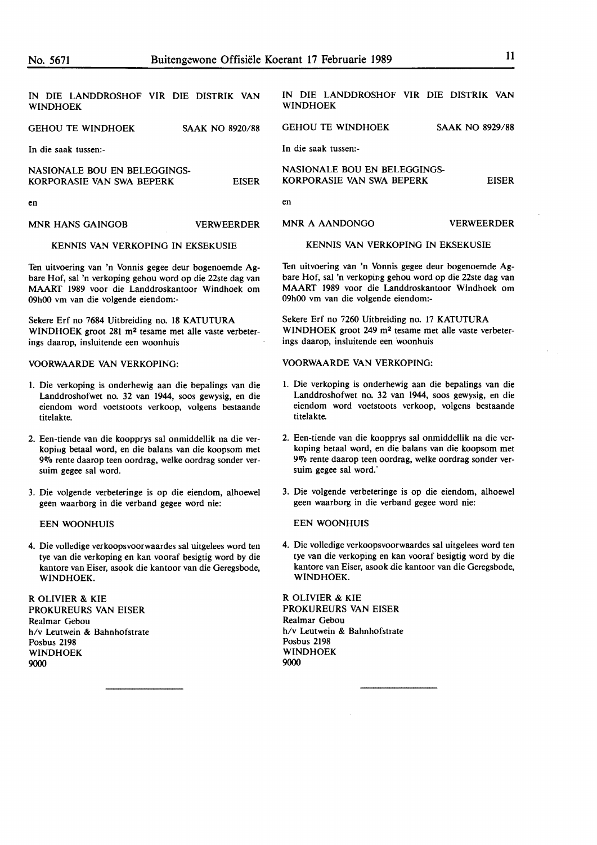| IN DIE LANDDROSHOF VIR DIE DISTRIK VAN<br><b>WINDHOEK</b> |                        | IN DIE LANDDROSHOF VIR DIE DISTRIK VAN<br><b>WINDHOEK</b> |                        |
|-----------------------------------------------------------|------------------------|-----------------------------------------------------------|------------------------|
| <b>GEHOU TE WINDHOEK</b>                                  | <b>SAAK NO 8920/88</b> | <b>GEHOU TE WINDHOEK</b>                                  | <b>SAAK NO 8929/88</b> |
| In die saak tussen:-                                      |                        | In die saak tussen:-                                      |                        |
| NASIONALE BOU EN BELEGGINGS-<br>KORPORASIE VAN SWA BEPERK | <b>EISER</b>           | NASIONALE BOU EN BELEGGINGS-<br>KORPORASIE VAN SWA BEPERK | <b>EISER</b>           |
| en                                                        |                        | en                                                        |                        |
| <b>MNR HANS GAINGOB</b>                                   | <b>VERWEERDER</b>      | MNR A AANDONGO                                            | <b>VERWEERDER</b>      |

#### KENNIS VAN VERKOPING IN EKSEKUSIE

Ten uitvoering van 'n Vonnis gegee deur bogenoemde Agbare Hof, sal 'n verkoping gehou word op die 22ste dag van MAARf 1989 voor die Landdroskantoor Windhoek om 09h00 vm van die volgende eiendom:-

Sekere Erf no 7684 Uitbreiding no. 18 KATUTURA WINDHOEK groot 281 m2 tesame met alle vaste verbeterings daarop, insluitende een woonhuis

#### VOORWAARDE VAN VERKOPING:

- 1. Die verkoping is onderhewig aan die bepalings van die Landdroshofwet no. 32 van 1944, soos gewysig, en die eiendom word voetstoots verkoop, votgens bestaande titelakte.
- 2. Een-tiende van die koopprys sat onmiddellik na die verkopiug betaat word, en die balans van die koopsom met 9% rente daarop teen oordrag, welke oordrag sonder versuim gegee sat word.
- 3. Die volgende verbeteringe is op die eiendom, alhoewel geen waarborg in die verband gegee word nie:

#### EEN WOONHUIS

4. Die volledige verkoopsvoorwaardes sal uitgelees word ten tye van die verkoping en kan vooraf besigtig word by die kantore van Eiser, asook die kantoor van die Geregsbode, **WINDHOEK.** 

**R OLIVIER** & **KIE**  PROKUREURS VAN EISER Realmar Gebou h/v Leutwein & Bahnhofstrate Posbus 2198 WINDHOEK 9000

KENNIS VAN VERKOPING IN EKSEKUSIE

Ten uitvoering van 'n Vonnis gegee deur bogenoemde Agbare Hof, sat 'n verkoping gehou word op die 22ste dag van **MAARf** 1989 voor die Landdroskantoor Windhoek om 09h00 vm van die votgende eiendom:-

Sekere Erf no 7260 Uitbreiding no. 17 KATUTURA WINDHOEK groot 249 m<sup>2</sup> tesame met alle vaste verbeterings daarop, instuitende een woonhuis

#### VOORWAARDE VAN VERKOPING:

- 1. Die verkoping is onderhewig aan die bepalings van die Landdroshofwet no. 32 van 1944, soos gewysig, en die eiendom word voetstoots verkoop, votgens bestaande titelakte.
- 2. Een-tiende van die koopprys sat onmiddellik na die verkoping betaat word, en die batans van die koopsom met 9% rente daarop teen oordrag, welke oordrag sonder versuim gegee sal word.
- 3. Die votgende verbeteringe is op die eiendom, athoewet geen waarborg in die verband gegee word nie:

#### EEN WOONHUIS

4. Die volledige verkoopsvoorwaardes sal uitgelees word ten tye van die verkoping en kan vooraf besigtig word by die kantore van Eiser, asook die kantoor van die Geregsbode, WINDHOEK.

R OLIVIER & **KIE**  PROKUREURS VAN EISER Realmar Gebou h/v Leutwein & Bahnhofstrate Posbus 2198 WINDHOEK 9000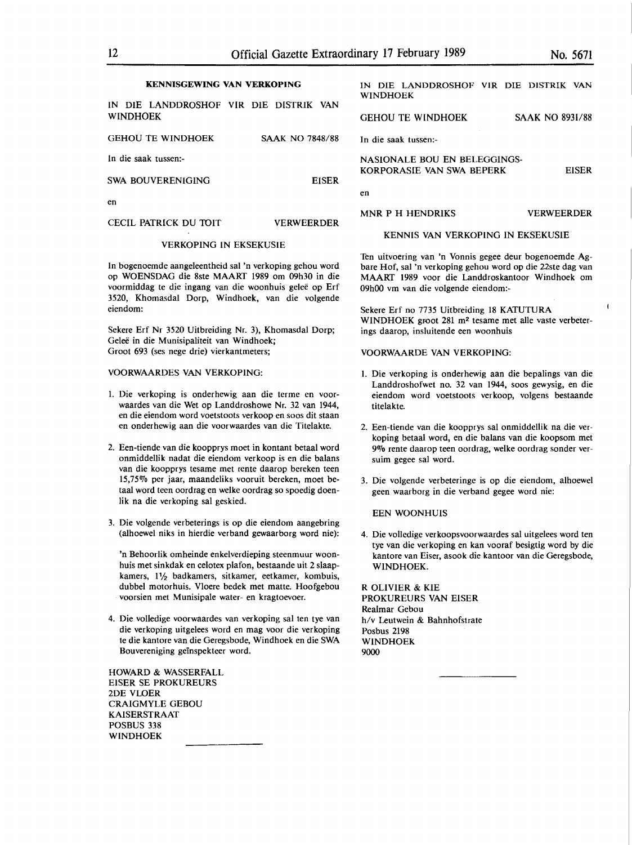#### **KENNISGEWING VAN VERKOPING**

IN DIE LANDDROSHOF VIR DIE DISTRIK VAN WINDHOEK

| <b>GEHOU TE WINDHOEK</b> | <b>SAAK NO 7848/88</b> |
|--------------------------|------------------------|
| In die saak tussen:-     |                        |
| SWA BOUVERENIGING        | <b>EISER</b>           |
| en                       |                        |
| CECIL PATRICK DU TOIT    | <b>VERWEERDER</b>      |

### VERKOPING IN EKSEKUSIE

In bogenoemde aangeleentheid sal 'n verkoping gehou word op WOENSDAG die 8ste MAART 1989 om 09h30 in die voormiddag te die ingang van die woonhuis gelee op Erf 3520, Khomasdal Dorp, Windhoek, van die volgende eiendom:

Sekere Erf Nr 3520 Uitbreiding Nr. 3), Khomasdal Dorp; Geleë in die Munisipaliteit van Windhoek; Groot 693 (ses nege drie) vierkantmeters;

#### VOORWAARDES VAN VERKOPING:

- 1. Die verkoping is onderhewig aan die terme en voorwaardes van die Wet op Landdroshowe Nr. 32 van 1944, en die eiendom word voetstoots verkoop en soos dit staan en onderhewig aan die voorwaardes van die Titelakte.
- 2. Een-tiende van die koopprys moet in kontant betaal word onmiddellik nadat die eiendom verkoop is en die balans van die koopprys tesame met rente daarop bereken teen 15,75% per jaar, maandeliks vooruit bereken, moet betaal word teen oordrag en **welke** oordrag so spoedig doenlik na die verkoping sal geskied.
- 3. Die volgende verbeterings is op die eiendom aangebring (alhoewel niks in hierdie verband gewaarborg word nie):

'n Behoorlik omheinde enkelverdieping steenmuur woonhuis met sinkdak en celotex plafon, bestaande uit 2 slaapkamers, 11/2 badkamers, sitkamer, eetkamer, kombuis, dubbel motorhuis. Vloere bedek met matte. Hoofgebou voorsien met Munisipale water- en kragtoevoer.

4. Die volledige voorwaardes van verkoping sal ten tye van die verkoping uitgelees word en mag voor die verkoping te die kantore van die Geregsbode, Windhoek en die SWA Bouvereniging geinspekteer word.

HOWARD & WASSERFALL EISER SE PROKUREURS 2DE VLOER CRAIGMYLE GEBOU KAISERSTRAAT POSBUS 338 WINDHOEK

IN DIE LANDDROSHOF VIR DIE DISTRIK VAN WINDHOEK GEHOU TE WINDHOEK SAAK NO 8931/88 In die saak tussen:- NASIONALE BOU EN BELEGGINGS-KORPORASIE VAN SWA BEPERK en MNR P H HENDRIKS EISER VERWEERDER

#### KENNIS VAN VERKOPING IN EKSEKUSIE

Ten uitvoering van 'n Vonnis gegee deur bogenoemde Agbare Hof, sal 'n verkoping gehou word op die 22ste dag van MAART 1989 voor die Landdroskantoor Windhoek om 09h00 vm van die volgende eiendom:-

Sekere Erf no 7735 Uitbreiding 18 KATUTURA WINDHOEK groot 281 m<sup>2</sup> tesame met alle vaste verbeterings daarop, insluitende een woonhuis

#### VOORWAARDE VAN VERKOPING:

- 1. Die verkoping is onderhewig aan die bepalings van die Landdroshofwet no. 32 van 1944, soos gewysig, en die eiendom word voetstoots verkoop, volgens bestaande titelakte.
- 2. Een-tiende van die koopprys sal onmiddellik na die verkoping betaal word, en die balans van die koopsom met 9% rente daarop teen oordrag, welke oordrag sonder versuim gegee sal word.
- 3. Die volgende verbeteringe is op die eiendom, alhoewel geen waarborg in die verband gegee word nie:

#### EEN WOONHUIS

4. Die volledige verkoopsvoorwaardes sal uitgelees word ten tye van die verkoping en kan vooraf besigtig word by die kantore van Eiser, asook die kantoor van die Geregsbode, WINDHOEK.

R OLIVIER & KIE PROKUREURS VAN EISER Realmar Gebou h/v Leutwein & Bahnhofstrate Posbus 2198 WINDHOEK 9000